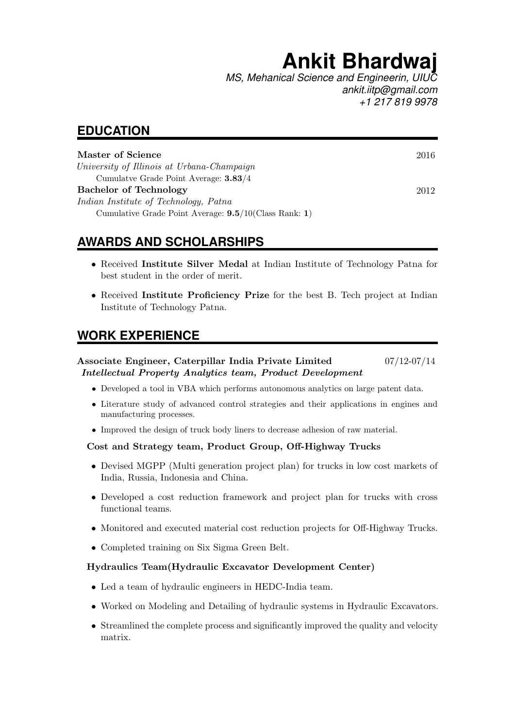# **Ankit Bhardwaj**

*MS, Mehanical Science and Engineerin, UIUC ankit.iitp@gmail.com +1 217 819 9978*

### **EDUCATION**

| Master of Science                                        | 2016 |
|----------------------------------------------------------|------|
| University of Illinois at Urbana-Champaign               |      |
| Cumulative Grade Point Average: <b>3.83/4</b>            |      |
| <b>Bachelor of Technology</b>                            | 2012 |
| Indian Institute of Technology, Patna                    |      |
| Cumulative Grade Point Average: $9.5/10$ (Class Rank: 1) |      |

# **AWARDS AND SCHOLARSHIPS**

- Received Institute Silver Medal at Indian Institute of Technology Patna for best student in the order of merit.
- Received Institute Proficiency Prize for the best B. Tech project at Indian Institute of Technology Patna.

### **WORK EXPERIENCE**

#### Associate Engineer, Caterpillar India Private Limited 07/12-07/14 Intellectual Property Analytics team, Product Development

- Developed a tool in VBA which performs autonomous analytics on large patent data.
- Literature study of advanced control strategies and their applications in engines and manufacturing processes.
- Improved the design of truck body liners to decrease adhesion of raw material.

#### Cost and Strategy team, Product Group, Off-Highway Trucks

- Devised MGPP (Multi generation project plan) for trucks in low cost markets of India, Russia, Indonesia and China.
- Developed a cost reduction framework and project plan for trucks with cross functional teams.
- Monitored and executed material cost reduction projects for Off-Highway Trucks.
- Completed training on Six Sigma Green Belt.

#### Hydraulics Team(Hydraulic Excavator Development Center)

- Led a team of hydraulic engineers in HEDC-India team.
- Worked on Modeling and Detailing of hydraulic systems in Hydraulic Excavators.
- Streamlined the complete process and significantly improved the quality and velocity matrix.